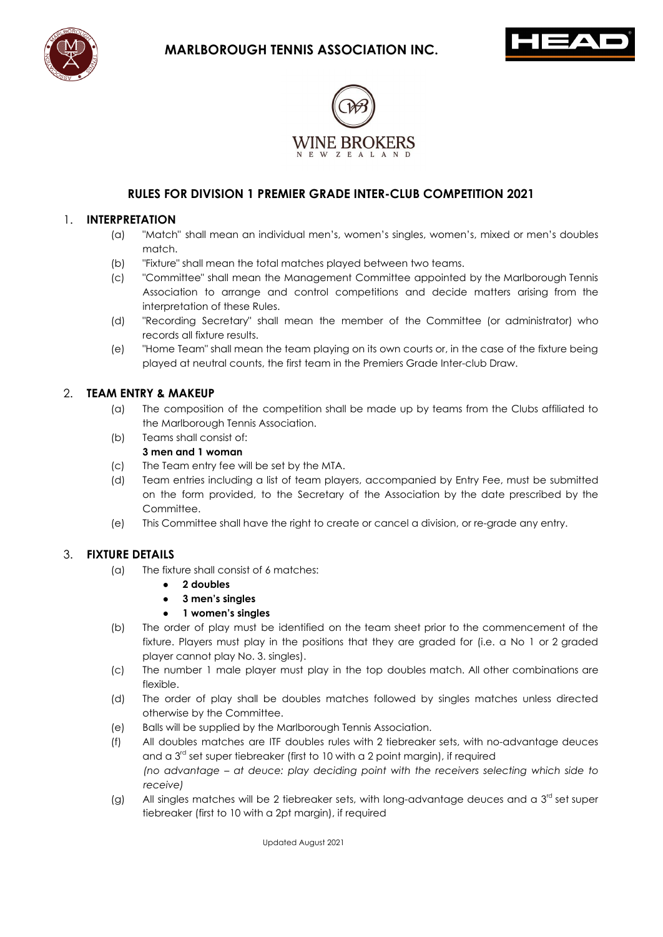





# **RULES FOR DIVISION 1 PREMIER GRADE INTER-CLUB COMPETITION 2021**

#### 1. **INTERPRETATION**

- (a) "Match" shall mean an individual men's, women's singles, women's, mixed or men's doubles match.
- (b) "Fixture" shall mean the total matches played between two teams.
- (c) "Committee" shall mean the Management Committee appointed by the Marlborough Tennis Association to arrange and control competitions and decide matters arising from the interpretation of these Rules.
- (d) "Recording Secretary" shall mean the member of the Committee (or administrator) who records all fixture results.
- (e) "Home Team" shall mean the team playing on its own courts or, in the case of the fixture being played at neutral counts, the first team in the Premiers Grade Inter-club Draw.

#### 2. **TEAM ENTRY & MAKEUP**

- (a) The composition of the competition shall be made up by teams from the Clubs affiliated to the Marlborough Tennis Association.
- (b) Teams shall consist of:
	- **3 men and 1 woman**
- (c) The Team entry fee will be set by the MTA.
- (d) Team entries including a list of team players, accompanied by Entry Fee, must be submitted on the form provided, to the Secretary of the Association by the date prescribed by the Committee.
- (e) This Committee shall have the right to create or cancel a division, or re-grade any entry.

## 3. **FIXTURE DETAILS**

- (a) The fixture shall consist of 6 matches:
	- **2 doubles**
	- **3 men's singles**
	- **1 women's singles**
- (b) The order of play must be identified on the team sheet prior to the commencement of the fixture. Players must play in the positions that they are graded for (i.e. a No 1 or 2 graded player cannot play No. 3. singles).
- (c) The number 1 male player must play in the top doubles match. All other combinations are flexible.
- (d) The order of play shall be doubles matches followed by singles matches unless directed otherwise by the Committee.
- (e) Balls will be supplied by the Marlborough Tennis Association.
- (f) All doubles matches are ITF doubles rules with 2 tiebreaker sets, with no-advantage deuces and a  $3<sup>rd</sup>$  set super tiebreaker (first to 10 with a 2 point margin), if required *(no advantage – at deuce: play deciding point with the receivers selecting which side to receive)*
- (g) All singles matches will be 2 tiebreaker sets, with long-advantage deuces and a  $3<sup>rd</sup>$  set super tiebreaker (first to 10 with a 2pt margin), if required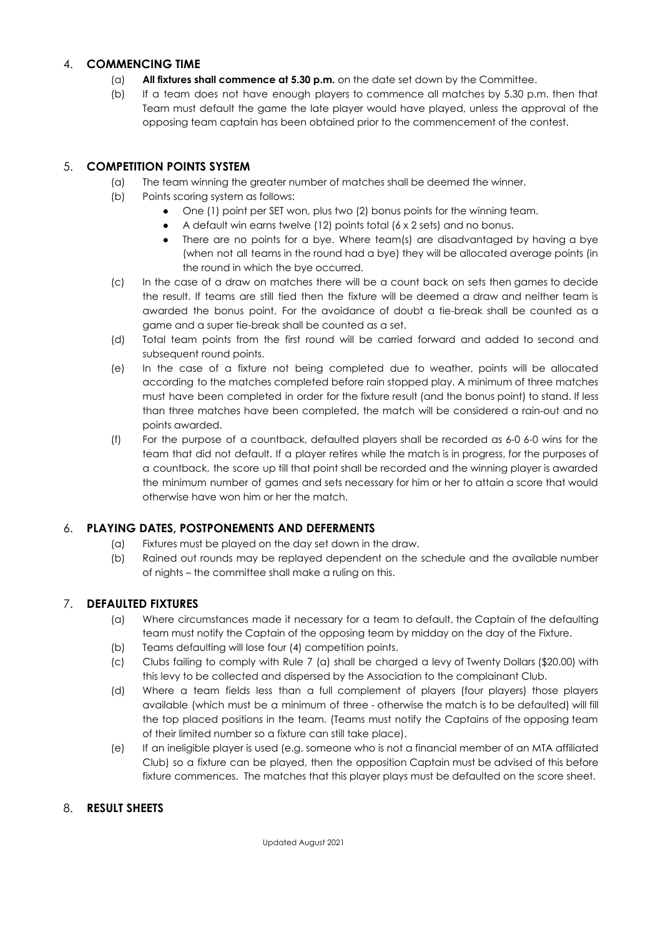## 4. **COMMENCING TIME**

- (a) **All fixtures shall commence at 5.30 p.m.** on the date set down by the Committee.
- (b) If a team does not have enough players to commence all matches by 5.30 p.m. then that Team must default the game the late player would have played, unless the approval of the opposing team captain has been obtained prior to the commencement of the contest.

# 5. **COMPETITION POINTS SYSTEM**

- (a) The team winning the greater number of matches shall be deemed the winner.
- (b) Points scoring system as follows:
	- One (1) point per SET won, plus two (2) bonus points for the winning team.
	- A default win earns twelve (12) points total (6 x 2 sets) and no bonus.
	- There are no points for a bye. Where team(s) are disadvantaged by having a bye (when not all teams in the round had a bye) they will be allocated average points (in the round in which the bye occurred.
- (c) In the case of a draw on matches there will be a count back on sets then games to decide the result. If teams are still tied then the fixture will be deemed a draw and neither team is awarded the bonus point. For the avoidance of doubt a tie-break shall be counted as a game and a super tie-break shall be counted as a set.
- (d) Total team points from the first round will be carried forward and added to second and subsequent round points.
- (e) In the case of a fixture not being completed due to weather, points will be allocated according to the matches completed before rain stopped play. A minimum of three matches must have been completed in order for the fixture result (and the bonus point) to stand. If less than three matches have been completed, the match will be considered a rain-out and no points awarded.
- (f) For the purpose of a countback, defaulted players shall be recorded as 6-0 6-0 wins for the team that did not default. If a player retires while the match is in progress, for the purposes of a countback, the score up till that point shall be recorded and the winning player is awarded the minimum number of games and sets necessary for him or her to attain a score that would otherwise have won him or her the match.

## 6. **PLAYING DATES, POSTPONEMENTS AND DEFERMENTS**

- (a) Fixtures must be played on the day set down in the draw.
- (b) Rained out rounds may be replayed dependent on the schedule and the available number of nights – the committee shall make a ruling on this.

## 7. **DEFAULTED FIXTURES**

- (a) Where circumstances made it necessary for a team to default, the Captain of the defaulting team must notify the Captain of the opposing team by midday on the day of the Fixture.
- (b) Teams defaulting will lose four (4) competition points.
- (c) Clubs failing to comply with Rule 7 (a) shall be charged a levy of Twenty Dollars (\$20.00) with this levy to be collected and dispersed by the Association to the complainant Club.
- (d) Where a team fields less than a full complement of players (four players) those players available (which must be a minimum of three - otherwise the match is to be defaulted) will fill the top placed positions in the team. (Teams must notify the Captains of the opposing team of their limited number so a fixture can still take place).
- (e) If an ineligible player is used (e.g. someone who is not a financial member of an MTA affiliated Club) so a fixture can be played, then the opposition Captain must be advised of this before fixture commences. The matches that this player plays must be defaulted on the score sheet.

## 8. **RESULT SHEETS**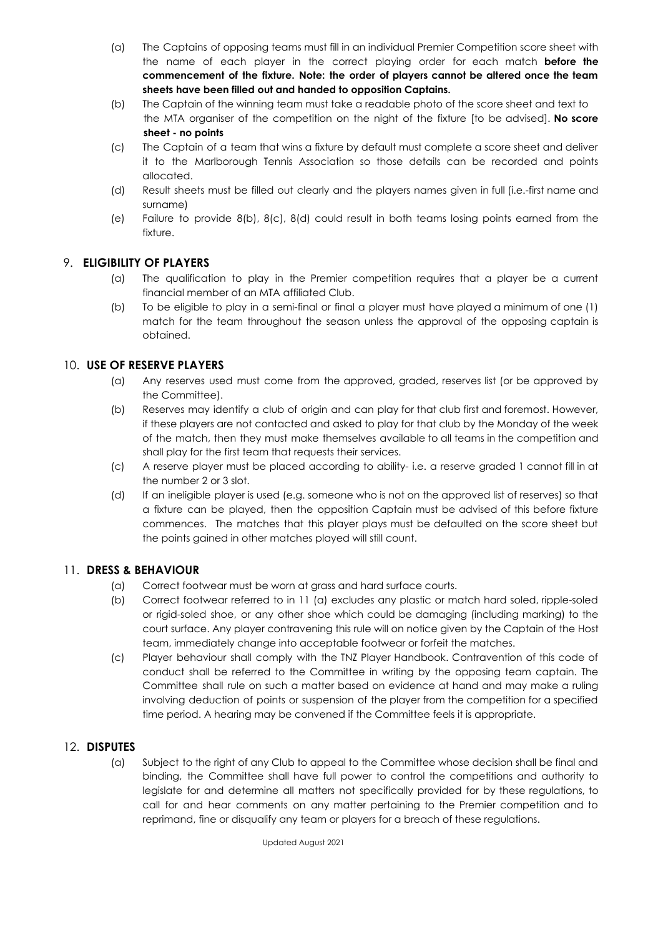- (a) The Captains of opposing teams must fill in an individual Premier Competition score sheet with the name of each player in the correct playing order for each match **before the commencement of the fixture. Note: the order of players cannot be altered once the team sheets have been filled out and handed to opposition Captains.**
- (b) The Captain of the winning team must take a readable photo of the score sheet and text to the MTA organiser of the competition on the night of the fixture [to be advised]. **No score sheet - no points**
- (c) The Captain of a team that wins a fixture by default must complete a score sheet and deliver it to the Marlborough Tennis Association so those details can be recorded and points allocated.
- (d) Result sheets must be filled out clearly and the players names given in full (i.e.-first name and surname)
- (e) Failure to provide 8(b), 8(c), 8(d) could result in both teams losing points earned from the fixture.

# 9. **ELIGIBILITY OF PLAYERS**

- (a) The qualification to play in the Premier competition requires that a player be a current financial member of an MTA affiliated Club.
- (b) To be eligible to play in a semi-final or final a player must have played a minimum of one (1) match for the team throughout the season unless the approval of the opposing captain is obtained.

# 10. **USE OF RESERVE PLAYERS**

- (a) Any reserves used must come from the approved, graded, reserves list (or be approved by the Committee).
- (b) Reserves may identify a club of origin and can play for that club first and foremost. However, if these players are not contacted and asked to play for that club by the Monday of the week of the match, then they must make themselves available to all teams in the competition and shall play for the first team that requests their services.
- (c) A reserve player must be placed according to ability- i.e. a reserve graded 1 cannot fill in at the number 2 or 3 slot.
- (d) If an ineligible player is used (e.g. someone who is not on the approved list of reserves) so that a fixture can be played, then the opposition Captain must be advised of this before fixture commences. The matches that this player plays must be defaulted on the score sheet but the points gained in other matches played will still count.

## 11. **DRESS & BEHAVIOUR**

- (a) Correct footwear must be worn at grass and hard surface courts.
- (b) Correct footwear referred to in 11 (a) excludes any plastic or match hard soled, ripple-soled or rigid-soled shoe, or any other shoe which could be damaging (including marking) to the court surface. Any player contravening this rule will on notice given by the Captain of the Host team, immediately change into acceptable footwear or forfeit the matches.
- (c) Player behaviour shall comply with the TNZ Player Handbook. Contravention of this code of conduct shall be referred to the Committee in writing by the opposing team captain. The Committee shall rule on such a matter based on evidence at hand and may make a ruling involving deduction of points or suspension of the player from the competition for a specified time period. A hearing may be convened if the Committee feels it is appropriate.

#### 12. **DISPUTES**

(a) Subject to the right of any Club to appeal to the Committee whose decision shall be final and binding, the Committee shall have full power to control the competitions and authority to legislate for and determine all matters not specifically provided for by these regulations, to call for and hear comments on any matter pertaining to the Premier competition and to reprimand, fine or disqualify any team or players for a breach of these regulations.